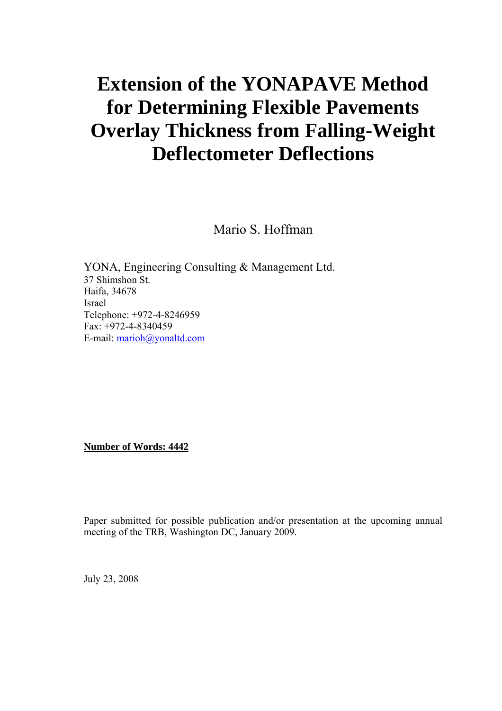# **Extension of the YONAPAVE Method for Determining Flexible Pavements Overlay Thickness from Falling-Weight Deflectometer Deflections**

Mario S. Hoffman

YONA, Engineering Consulting & Management Ltd. 37 Shimshon St. Haifa, 34678 Israel Telephone: +972-4-8246959 Fax: +972-4-8340459 E-mail: marioh@yonaltd.com

**Number of Words: 4442**

Paper submitted for possible publication and/or presentation at the upcoming annual meeting of the TRB, Washington DC, January 2009.

July 23, 2008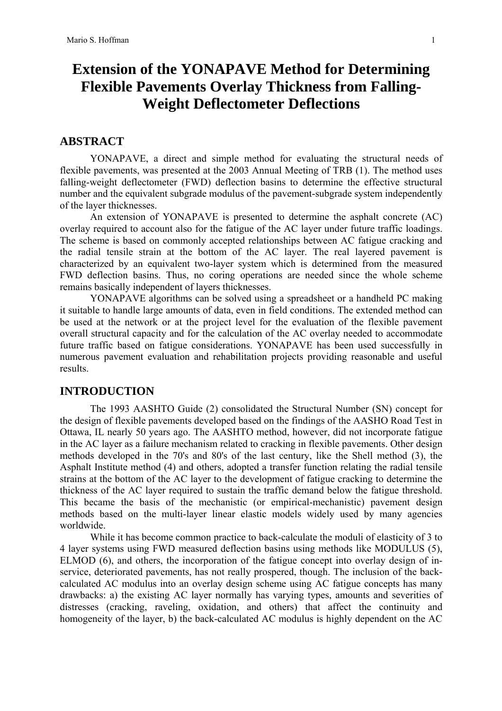# **Extension of the YONAPAVE Method for Determining Flexible Pavements Overlay Thickness from Falling-Weight Deflectometer Deflections**

# **ABSTRACT**

YONAPAVE, a direct and simple method for evaluating the structural needs of flexible pavements, was presented at the 2003 Annual Meeting of TRB (1). The method uses falling-weight deflectometer (FWD) deflection basins to determine the effective structural number and the equivalent subgrade modulus of the pavement-subgrade system independently of the layer thicknesses.

An extension of YONAPAVE is presented to determine the asphalt concrete (AC) overlay required to account also for the fatigue of the AC layer under future traffic loadings. The scheme is based on commonly accepted relationships between AC fatigue cracking and the radial tensile strain at the bottom of the AC layer. The real layered pavement is characterized by an equivalent two-layer system which is determined from the measured FWD deflection basins. Thus, no coring operations are needed since the whole scheme remains basically independent of layers thicknesses.

YONAPAVE algorithms can be solved using a spreadsheet or a handheld PC making it suitable to handle large amounts of data, even in field conditions. The extended method can be used at the network or at the project level for the evaluation of the flexible pavement overall structural capacity and for the calculation of the AC overlay needed to accommodate future traffic based on fatigue considerations. YONAPAVE has been used successfully in numerous pavement evaluation and rehabilitation projects providing reasonable and useful results.

### **INTRODUCTION**

The 1993 AASHTO Guide (2) consolidated the Structural Number (SN) concept for the design of flexible pavements developed based on the findings of the AASHO Road Test in Ottawa, IL nearly 50 years ago. The AASHTO method, however, did not incorporate fatigue in the AC layer as a failure mechanism related to cracking in flexible pavements. Other design methods developed in the 70's and 80's of the last century, like the Shell method (3), the Asphalt Institute method (4) and others, adopted a transfer function relating the radial tensile strains at the bottom of the AC layer to the development of fatigue cracking to determine the thickness of the AC layer required to sustain the traffic demand below the fatigue threshold. This became the basis of the mechanistic (or empirical-mechanistic) pavement design methods based on the multi-layer linear elastic models widely used by many agencies worldwide.

While it has become common practice to back-calculate the moduli of elasticity of 3 to 4 layer systems using FWD measured deflection basins using methods like MODULUS (5), ELMOD (6), and others, the incorporation of the fatigue concept into overlay design of inservice, deteriorated pavements, has not really prospered, though. The inclusion of the backcalculated AC modulus into an overlay design scheme using AC fatigue concepts has many drawbacks: a) the existing AC layer normally has varying types, amounts and severities of distresses (cracking, raveling, oxidation, and others) that affect the continuity and homogeneity of the layer, b) the back-calculated AC modulus is highly dependent on the AC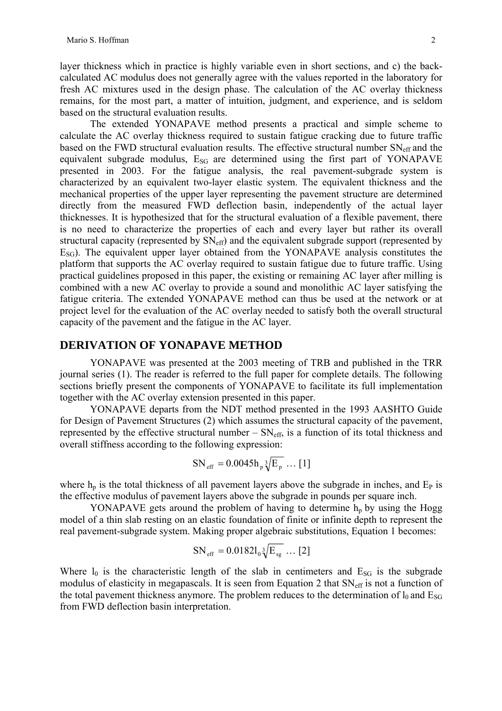layer thickness which in practice is highly variable even in short sections, and c) the backcalculated AC modulus does not generally agree with the values reported in the laboratory for fresh AC mixtures used in the design phase. The calculation of the AC overlay thickness remains, for the most part, a matter of intuition, judgment, and experience, and is seldom based on the structural evaluation results.

The extended YONAPAVE method presents a practical and simple scheme to calculate the AC overlay thickness required to sustain fatigue cracking due to future traffic based on the FWD structural evaluation results. The effective structural number  $SN_{\text{eff}}$  and the equivalent subgrade modulus,  $E_{SG}$  are determined using the first part of YONAPAVE presented in 2003. For the fatigue analysis, the real pavement-subgrade system is characterized by an equivalent two-layer elastic system. The equivalent thickness and the mechanical properties of the upper layer representing the pavement structure are determined directly from the measured FWD deflection basin, independently of the actual layer thicknesses. It is hypothesized that for the structural evaluation of a flexible pavement, there is no need to characterize the properties of each and every layer but rather its overall structural capacity (represented by  $SN_{\text{eff}}$ ) and the equivalent subgrade support (represented by  $E_{SG}$ ). The equivalent upper layer obtained from the YONAPAVE analysis constitutes the platform that supports the AC overlay required to sustain fatigue due to future traffic. Using practical guidelines proposed in this paper, the existing or remaining AC layer after milling is combined with a new AC overlay to provide a sound and monolithic AC layer satisfying the fatigue criteria. The extended YONAPAVE method can thus be used at the network or at project level for the evaluation of the AC overlay needed to satisfy both the overall structural capacity of the pavement and the fatigue in the AC layer.

# **DERIVATION OF YONAPAVE METHOD**

YONAPAVE was presented at the 2003 meeting of TRB and published in the TRR journal series (1). The reader is referred to the full paper for complete details. The following sections briefly present the components of YONAPAVE to facilitate its full implementation together with the AC overlay extension presented in this paper.

YONAPAVE departs from the NDT method presented in the 1993 AASHTO Guide for Design of Pavement Structures (2) which assumes the structural capacity of the pavement, represented by the effective structural number  $- SN_{\text{eff}}$ , is a function of its total thickness and overall stiffness according to the following expression:

$$
SN_{\text{eff}} = 0.0045 h_{p} \sqrt[3]{E_{p}} \dots [1]
$$

where  $h_p$  is the total thickness of all pavement layers above the subgrade in inches, and  $E_p$  is the effective modulus of pavement layers above the subgrade in pounds per square inch.

YONAPAVE gets around the problem of having to determine  $h_p$  by using the Hogg model of a thin slab resting on an elastic foundation of finite or infinite depth to represent the real pavement-subgrade system. Making proper algebraic substitutions, Equation 1 becomes:

$$
SN_{\text{eff}} = 0.0182 l_0 \sqrt[3]{E_{\text{sg}}} ... [2]
$$

Where  $l_0$  is the characteristic length of the slab in centimeters and  $E_{SG}$  is the subgrade modulus of elasticity in megapascals. It is seen from Equation 2 that SN<sub>eff</sub> is not a function of the total pavement thickness anymore. The problem reduces to the determination of  $l_0$  and  $E_{SG}$ from FWD deflection basin interpretation.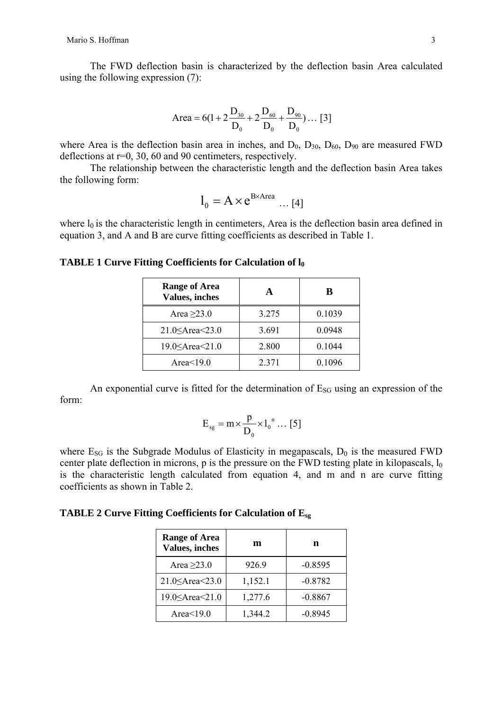The FWD deflection basin is characterized by the deflection basin Area calculated using the following expression (7):

Area = 
$$
6(1 + 2\frac{D_{30}}{D_0} + 2\frac{D_{60}}{D_0} + \frac{D_{90}}{D_0}) ... [3]
$$

where Area is the deflection basin area in inches, and  $D_0$ ,  $D_{30}$ ,  $D_{60}$ ,  $D_{90}$  are measured FWD deflections at r=0, 30, 60 and 90 centimeters, respectively.

The relationship between the characteristic length and the deflection basin Area takes the following form:

$$
l_0 = A \times e^{B \times Area} \dots [4]
$$

where  $l_0$  is the characteristic length in centimeters, Area is the deflection basin area defined in equation 3, and A and B are curve fitting coefficients as described in Table 1.

#### **TABLE 1 Curve Fitting Coefficients for Calculation of**  $l_0$

| <b>Range of Area</b><br>Values, inches |       | B      |
|----------------------------------------|-------|--------|
| Area $\geq$ 23.0                       | 3.275 | 0.1039 |
| 21.0 $\leq$ Area $\leq$ 23.0           | 3.691 | 0.0948 |
| 19.0 < <ra>Area&lt;21.0</ra>           | 2.800 | 0.1044 |
| Area $<19.0$                           | 2.371 | 0.1096 |

An exponential curve is fitted for the determination of  $E_{SG}$  using an expression of the form:

$$
E_{sg} = m \times \frac{p}{D_0} \times l_0^{n} \dots [5]
$$

where  $E_{SG}$  is the Subgrade Modulus of Elasticity in megapascals,  $D_0$  is the measured FWD center plate deflection in microns, p is the pressure on the FWD testing plate in kilopascals,  $l_0$ is the characteristic length calculated from equation 4, and m and n are curve fitting coefficients as shown in Table 2.

**TABLE 2 Curve Fitting Coefficients for Calculation of Esg**

| <b>Range of Area</b><br><b>Values, inches</b> | m       | n         |  |
|-----------------------------------------------|---------|-----------|--|
| Area $\geq$ 23.0                              | 926.9   | $-0.8595$ |  |
| 21.0 $\leq$ Area $\leq$ 23.0                  | 1,152.1 | $-0.8782$ |  |
|                                               | 1,277.6 | $-0.8867$ |  |
| Area $<$ 19.0                                 | 1,344.2 | $-0.8945$ |  |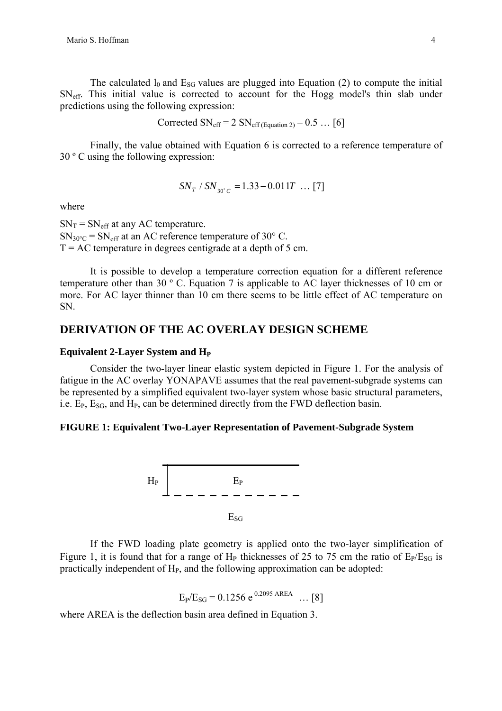The calculated  $l_0$  and  $E_{SG}$  values are plugged into Equation (2) to compute the initial SNeff. This initial value is corrected to account for the Hogg model's thin slab under predictions using the following expression:

Corrected SN<sub>eff</sub> = 
$$
2 \text{ SN}_{\text{eff (Equation 2)}} - 0.5 \dots [6]
$$

Finally, the value obtained with Equation 6 is corrected to a reference temperature of 30 º C using the following expression:

$$
SN_{T} / SN_{30^{\circ}C} = 1.33 - 0.011T \dots [7]
$$

where

 $SN_T = SN_{eff}$  at any AC temperature.  $SN_{30\degree\text{C}} = SN_{\text{eff}}$  at an AC reference temperature of 30 $\degree$  C.  $T = AC$  temperature in degrees centigrade at a depth of 5 cm.

It is possible to develop a temperature correction equation for a different reference temperature other than 30 º C. Equation 7 is applicable to AC layer thicknesses of 10 cm or more. For AC layer thinner than 10 cm there seems to be little effect of AC temperature on SN.

# **DERIVATION OF THE AC OVERLAY DESIGN SCHEME**

#### **Equivalent 2-Layer System and H<sub>P</sub>**

Consider the two-layer linear elastic system depicted in Figure 1. For the analysis of fatigue in the AC overlay YONAPAVE assumes that the real pavement-subgrade systems can be represented by a simplified equivalent two-layer system whose basic structural parameters, i.e.  $E_P$ ,  $E_{SG}$ , and  $H_P$ , can be determined directly from the FWD deflection basin.

#### **FIGURE 1: Equivalent Two-Layer Representation of Pavement-Subgrade System**



If the FWD loading plate geometry is applied onto the two-layer simplification of Figure 1, it is found that for a range of  $H_P$  thicknesses of 25 to 75 cm the ratio of  $E_P/E_{SG}$  is practically independent of  $H<sub>P</sub>$ , and the following approximation can be adopted:

$$
E_P/E_{SG} = 0.1256 e^{0.2095 \text{ AREA}} \dots [8]
$$

where AREA is the deflection basin area defined in Equation 3.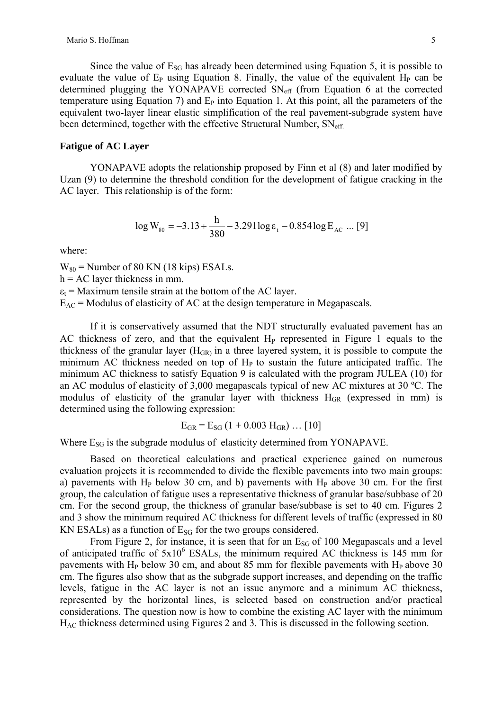Since the value of  $E_{SG}$  has already been determined using Equation 5, it is possible to evaluate the value of  $E_P$  using Equation 8. Finally, the value of the equivalent  $H_P$  can be determined plugging the YONAPAVE corrected  $SN_{\text{eff}}$  (from Equation 6 at the corrected temperature using Equation 7) and  $E<sub>P</sub>$  into Equation 1. At this point, all the parameters of the equivalent two-layer linear elastic simplification of the real pavement-subgrade system have been determined, together with the effective Structural Number,  $SN_{\text{eff}}$ .

#### **Fatigue of AC Layer**

YONAPAVE adopts the relationship proposed by Finn et al (8) and later modified by Uzan (9) to determine the threshold condition for the development of fatigue cracking in the AC layer. This relationship is of the form:

$$
\log W_{80} = -3.13 + \frac{h}{380} - 3.291 \log \varepsilon_{t} - 0.854 \log E_{AC} \dots [9]
$$

where:

 $W_{80}$  = Number of 80 KN (18 kips) ESALs.

 $h = AC$  layer thickness in mm.

 $\varepsilon_t$  = Maximum tensile strain at the bottom of the AC layer.

 $E_{AC}$  = Modulus of elasticity of AC at the design temperature in Megapascals.

If it is conservatively assumed that the NDT structurally evaluated pavement has an AC thickness of zero, and that the equivalent  $H<sub>P</sub>$  represented in Figure 1 equals to the thickness of the granular layer  $(H_{GR})$  in a three layered system, it is possible to compute the minimum AC thickness needed on top of  $H<sub>P</sub>$  to sustain the future anticipated traffic. The minimum AC thickness to satisfy Equation 9 is calculated with the program JULEA (10) for an AC modulus of elasticity of 3,000 megapascals typical of new AC mixtures at 30 ºC. The modulus of elasticity of the granular layer with thickness  $H_{GR}$  (expressed in mm) is determined using the following expression:

$$
E_{GR} = E_{SG} (1 + 0.003 H_{GR}) ... [10]
$$

Where E<sub>SG</sub> is the subgrade modulus of elasticity determined from YONAPAVE.

Based on theoretical calculations and practical experience gained on numerous evaluation projects it is recommended to divide the flexible pavements into two main groups: a) pavements with  $H<sub>P</sub>$  below 30 cm, and b) pavements with  $H<sub>P</sub>$  above 30 cm. For the first group, the calculation of fatigue uses a representative thickness of granular base/subbase of 20 cm. For the second group, the thickness of granular base/subbase is set to 40 cm. Figures 2 and 3 show the minimum required AC thickness for different levels of traffic (expressed in 80 KN ESALs) as a function of  $E_{SG}$  for the two groups considered.

From Figure 2, for instance, it is seen that for an  $E_{SG}$  of 100 Megapascals and a level of anticipated traffic of  $5x10^6$  ESALs, the minimum required AC thickness is 145 mm for pavements with  $H<sub>P</sub>$  below 30 cm, and about 85 mm for flexible pavements with  $H<sub>P</sub>$  above 30 cm. The figures also show that as the subgrade support increases, and depending on the traffic levels, fatigue in the AC layer is not an issue anymore and a minimum AC thickness, represented by the horizontal lines, is selected based on construction and/or practical considerations. The question now is how to combine the existing AC layer with the minimum HAC thickness determined using Figures 2 and 3. This is discussed in the following section.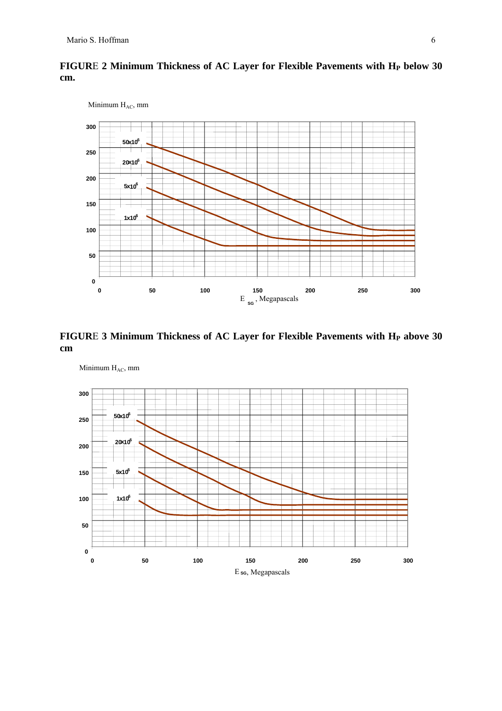

# FIGURE 2 Minimum Thickness of AC Layer for Flexible Pavements with H<sub>P</sub> below 30 **cm.**

FIGURE 3 Minimum Thickness of AC Layer for Flexible Pavements with H<sub>P</sub> above 30 **cm** 

Minimum H<sub>AC</sub>, mm

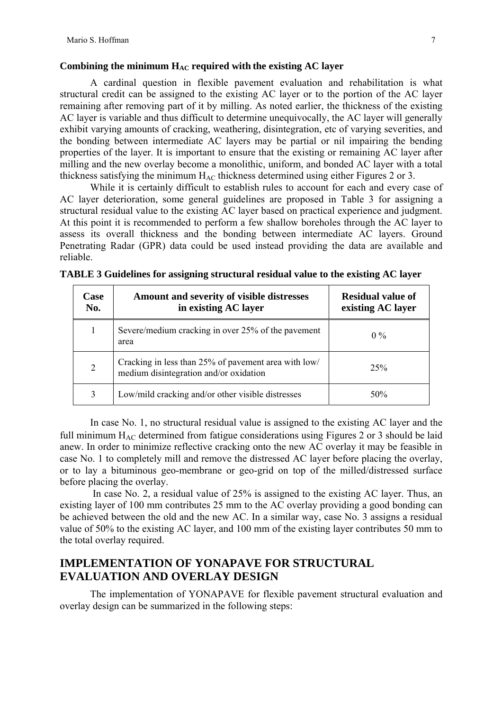#### **Combining the minimum HAC required with the existing AC layer**

A cardinal question in flexible pavement evaluation and rehabilitation is what structural credit can be assigned to the existing AC layer or to the portion of the AC layer remaining after removing part of it by milling. As noted earlier, the thickness of the existing AC layer is variable and thus difficult to determine unequivocally, the AC layer will generally exhibit varying amounts of cracking, weathering, disintegration, etc of varying severities, and the bonding between intermediate AC layers may be partial or nil impairing the bending properties of the layer. It is important to ensure that the existing or remaining AC layer after milling and the new overlay become a monolithic, uniform, and bonded AC layer with a total thickness satisfying the minimum  $H_{AC}$  thickness determined using either Figures 2 or 3.

While it is certainly difficult to establish rules to account for each and every case of AC layer deterioration, some general guidelines are proposed in Table 3 for assigning a structural residual value to the existing AC layer based on practical experience and judgment. At this point it is recommended to perform a few shallow boreholes through the AC layer to assess its overall thickness and the bonding between intermediate AC layers. Ground Penetrating Radar (GPR) data could be used instead providing the data are available and reliable.

| <b>Case</b><br>No. | Amount and severity of visible distresses<br>in existing AC layer                              | <b>Residual value of</b><br>existing AC layer |
|--------------------|------------------------------------------------------------------------------------------------|-----------------------------------------------|
| 1                  | Severe/medium cracking in over 25% of the pavement<br>area                                     | $0\%$                                         |
| 2                  | Cracking in less than 25% of pavement area with low/<br>medium disintegration and/or oxidation | 25%                                           |
| 3                  | Low/mild cracking and/or other visible distresses                                              | 50%                                           |

|  | TABLE 3 Guidelines for assigning structural residual value to the existing AC layer |  |  |  |
|--|-------------------------------------------------------------------------------------|--|--|--|
|  |                                                                                     |  |  |  |

In case No. 1, no structural residual value is assigned to the existing AC layer and the full minimum  $H_{AC}$  determined from fatigue considerations using Figures 2 or 3 should be laid anew. In order to minimize reflective cracking onto the new AC overlay it may be feasible in case No. 1 to completely mill and remove the distressed AC layer before placing the overlay, or to lay a bituminous geo-membrane or geo-grid on top of the milled/distressed surface before placing the overlay.

 In case No. 2, a residual value of 25% is assigned to the existing AC layer. Thus, an existing layer of 100 mm contributes 25 mm to the AC overlay providing a good bonding can be achieved between the old and the new AC. In a similar way, case No. 3 assigns a residual value of 50% to the existing AC layer, and 100 mm of the existing layer contributes 50 mm to the total overlay required.

# **IMPLEMENTATION OF YONAPAVE FOR STRUCTURAL EVALUATION AND OVERLAY DESIGN**

The implementation of YONAPAVE for flexible pavement structural evaluation and overlay design can be summarized in the following steps: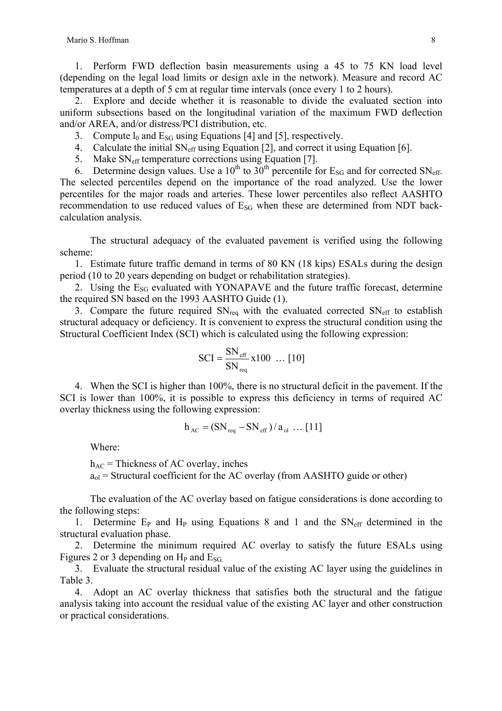1. Perform FWD deflection basin measurements using a 45 to 75 KN load level (depending on the legal load limits or design axle in the network). Measure and record AC temperatures at a depth of 5 cm at regular time intervals (once every 1 to 2 hours).

2. Explore and decide whether it is reasonable to divide the evaluated section into uniform subsections based on the longitudinal variation of the maximum FWD deflection and/or AREA, and/or distress/PCI distribution, etc.

- 3. Compute  $l_0$  and  $E_{SG}$  using Equations [4] and [5], respectively.
- 4. Calculate the initial  $SN_{\text{eff}}$  using Equation [2], and correct it using Equation [6].
- 5. Make SN<sub>eff</sub> temperature corrections using Equation [7].

6. Determine design values. Use a  $10^{th}$  to  $30^{th}$  percentile for  $E_{SG}$  and for corrected SN<sub>eff</sub>. The selected percentiles depend on the importance of the road analyzed. Use the lower percentiles for the major roads and arteries. These lower percentiles also reflect AASHTO recommendation to use reduced values of  $E_{SG}$  when these are determined from NDT backcalculation analysis.

The structural adequacy of the evaluated pavement is verified using the following scheme:

1. Estimate future traffic demand in terms of 80 KN (18 kips) ESALs during the design period (10 to 20 years depending on budget or rehabilitation strategies).

2. Using the  $E_{SG}$  evaluated with YONAPAVE and the future traffic forecast, determine the required SN based on the 1993 AASHTO Guide (1).

3. Compare the future required  $SN_{\text{req}}$  with the evaluated corrected  $SN_{\text{eff}}$  to establish structural adequacy or deficiency. It is convenient to express the structural condition using the Structural Coefficient Index (SCI) which is calculated using the following expression:

$$
SCI = \frac{SN_{\text{eff}}}{SN_{\text{req}}} \times 100 \dots [10]
$$

4. When the SCI is higher than 100%, there is no structural deficit in the pavement. If the SCI is lower than 100%, it is possible to express this deficiency in terms of required AC overlay thickness using the following expression:

$$
h_{AC} = (SN_{req} - SN_{eff})/a_{ol} \dots [11]
$$

Where:

 $h_{AC}$  = Thickness of AC overlay, inches  $a_{ol}$  = Structural coefficient for the AC overlay (from AASHTO guide or other)

The evaluation of the AC overlay based on fatigue considerations is done according to the following steps:

1. Determine  $E_P$  and  $H_P$  using Equations 8 and 1 and the  $SN_{eff}$  determined in the structural evaluation phase.

2. Determine the minimum required AC overlay to satisfy the future ESALs using Figures 2 or 3 depending on  $H<sub>P</sub>$  and  $E<sub>SG</sub>$ .

3. Evaluate the structural residual value of the existing AC layer using the guidelines in Table 3.

4. Adopt an AC overlay thickness that satisfies both the structural and the fatigue analysis taking into account the residual value of the existing AC layer and other construction or practical considerations.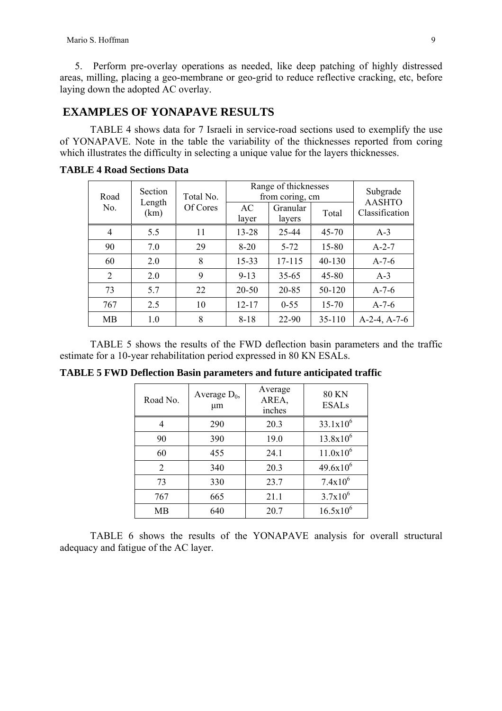5. Perform pre-overlay operations as needed, like deep patching of highly distressed areas, milling, placing a geo-membrane or geo-grid to reduce reflective cracking, etc, before laying down the adopted AC overlay.

# **EXAMPLES OF YONAPAVE RESULTS**

TABLE 4 shows data for 7 Israeli in service-road sections used to exemplify the use of YONAPAVE. Note in the table the variability of the thicknesses reported from coring which illustrates the difficulty in selecting a unique value for the layers thicknesses.

| Road           | Section        | Total No. | Range of thicknesses<br>from coring, cm | Subgrade<br><b>AASHTO</b> |            |                |  |
|----------------|----------------|-----------|-----------------------------------------|---------------------------|------------|----------------|--|
| No.            | Length<br>(km) | Of Cores  | AC<br>layer                             | Granular<br>layers        | Total      | Classification |  |
| 4              | 5.5            | 11        | 13-28                                   | 25-44                     | $45 - 70$  | $A-3$          |  |
| 90             | 7.0            | 29        | $8 - 20$                                | $5 - 72$                  | 15-80      | $A-2-7$        |  |
| 60             | 2.0            | 8         | 15-33                                   | 17-115                    | 40-130     | $A-7-6$        |  |
| $\overline{2}$ | 2.0            | 9         | $9 - 13$                                | $35 - 65$                 | 45-80      | $A-3$          |  |
| 73             | 5.7            | 22        | $20 - 50$                               | 20-85                     | 50-120     | $A-7-6$        |  |
| 767            | 2.5            | 10        | $12 - 17$                               | $0 - 55$                  | 15-70      | $A-7-6$        |  |
| <b>MB</b>      | 1.0            | 8         | $8 - 18$                                | 22-90                     | $35 - 110$ | $A-2-4, A-7-6$ |  |

**TABLE 4 Road Sections Data** 

TABLE 5 shows the results of the FWD deflection basin parameters and the traffic estimate for a 10-year rehabilitation period expressed in 80 KN ESALs.

**TABLE 5 FWD Deflection Basin parameters and future anticipated traffic** 

| Road No.       | Average $D_0$ ,<br>μm | Average<br>AREA,<br>inches | <b>80 KN</b><br><b>ESALs</b> |  |
|----------------|-----------------------|----------------------------|------------------------------|--|
| 4              | 290                   | 20.3                       | $33.1x10^{6}$                |  |
| 90             | 390                   | 19.0                       | $13.8x10^{6}$                |  |
| 60             | 455                   | 24.1                       | $11.0x10^6$                  |  |
| $\overline{2}$ | 340                   | 20.3                       | $49.6x10^{6}$                |  |
| 73             | 330                   | 23.7                       | $7.4x10^6$                   |  |
| 767            | 665                   | 21.1                       | $3.7x10^{6}$                 |  |
| MВ             | 640                   | 20.7                       | $16.5x10^{6}$                |  |

TABLE 6 shows the results of the YONAPAVE analysis for overall structural adequacy and fatigue of the AC layer.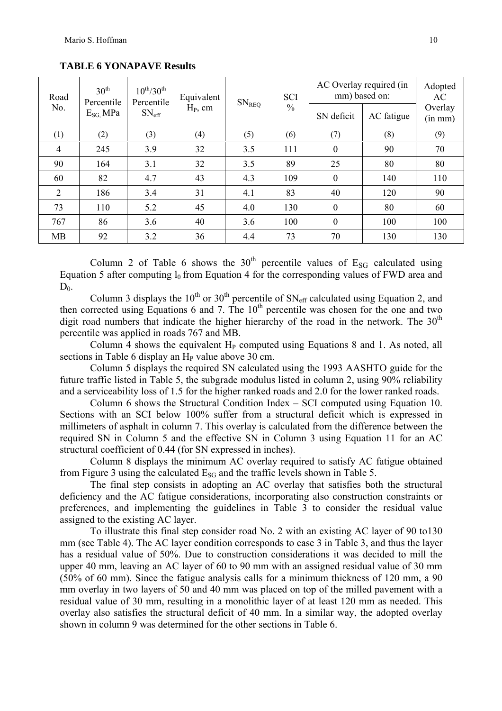| 30 <sup>th</sup><br>Road<br>Percentile | $10^{th}/30^{th}$<br>Percentile | Equivalent        | $\mathrm{SN}_\mathrm{REQ}$ | <b>SCI</b> | AC Overlay required (in<br>mm) based on: |                  | Adopted<br>AC |                    |
|----------------------------------------|---------------------------------|-------------------|----------------------------|------------|------------------------------------------|------------------|---------------|--------------------|
| No.                                    | $E_{SG}$ MPa                    | $SN_{\text{eff}}$ | $H_P$ , cm                 |            | $\frac{0}{0}$                            | SN deficit       | AC fatigue    | Overlay<br>(in mm) |
| (1)                                    | (2)                             | (3)               | (4)                        | (5)        | (6)                                      | (7)              | (8)           | (9)                |
| $\overline{4}$                         | 245                             | 3.9               | 32                         | 3.5        | 111                                      | $\boldsymbol{0}$ | 90            | 70                 |
| 90                                     | 164                             | 3.1               | 32                         | 3.5        | 89                                       | 25               | 80            | 80                 |
| 60                                     | 82                              | 4.7               | 43                         | 4.3        | 109                                      | $\boldsymbol{0}$ | 140           | 110                |
| 2                                      | 186                             | 3.4               | 31                         | 4.1        | 83                                       | 40               | 120           | 90                 |
| 73                                     | 110                             | 5.2               | 45                         | 4.0        | 130                                      | $\boldsymbol{0}$ | 80            | 60                 |
| 767                                    | 86                              | 3.6               | 40                         | 3.6        | 100                                      | $\boldsymbol{0}$ | 100           | 100                |
| <b>MB</b>                              | 92                              | 3.2               | 36                         | 4.4        | 73                                       | 70               | 130           | 130                |

**TABLE 6 YONAPAVE Results** 

Column 2 of Table 6 shows the  $30<sup>th</sup>$  percentile values of E<sub>SG</sub> calculated using Equation 5 after computing  $l_0$  from Equation 4 for the corresponding values of FWD area and  $D_0$ .

Column 3 displays the 10<sup>th</sup> or 30<sup>th</sup> percentile of  $SN_{\text{eff}}$  calculated using Equation 2, and then corrected using Equations 6 and 7. The  $10<sup>th</sup>$  percentile was chosen for the one and two digit road numbers that indicate the higher hierarchy of the road in the network. The  $30<sup>th</sup>$ percentile was applied in roads 767 and MB.

Column 4 shows the equivalent  $H<sub>P</sub>$  computed using Equations 8 and 1. As noted, all sections in Table 6 display an  $H<sub>P</sub>$  value above 30 cm.

Column 5 displays the required SN calculated using the 1993 AASHTO guide for the future traffic listed in Table 5, the subgrade modulus listed in column 2, using 90% reliability and a serviceability loss of 1.5 for the higher ranked roads and 2.0 for the lower ranked roads.

Column 6 shows the Structural Condition Index – SCI computed using Equation 10. Sections with an SCI below 100% suffer from a structural deficit which is expressed in millimeters of asphalt in column 7. This overlay is calculated from the difference between the required SN in Column 5 and the effective SN in Column 3 using Equation 11 for an AC structural coefficient of 0.44 (for SN expressed in inches).

Column 8 displays the minimum AC overlay required to satisfy AC fatigue obtained from Figure 3 using the calculated  $E_{SG}$  and the traffic levels shown in Table 5.

The final step consists in adopting an AC overlay that satisfies both the structural deficiency and the AC fatigue considerations, incorporating also construction constraints or preferences, and implementing the guidelines in Table 3 to consider the residual value assigned to the existing AC layer.

To illustrate this final step consider road No. 2 with an existing AC layer of 90 to130 mm (see Table 4). The AC layer condition corresponds to case 3 in Table 3, and thus the layer has a residual value of 50%. Due to construction considerations it was decided to mill the upper 40 mm, leaving an AC layer of 60 to 90 mm with an assigned residual value of 30 mm (50% of 60 mm). Since the fatigue analysis calls for a minimum thickness of 120 mm, a 90 mm overlay in two layers of 50 and 40 mm was placed on top of the milled pavement with a residual value of 30 mm, resulting in a monolithic layer of at least 120 mm as needed. This overlay also satisfies the structural deficit of 40 mm. In a similar way, the adopted overlay shown in column 9 was determined for the other sections in Table 6.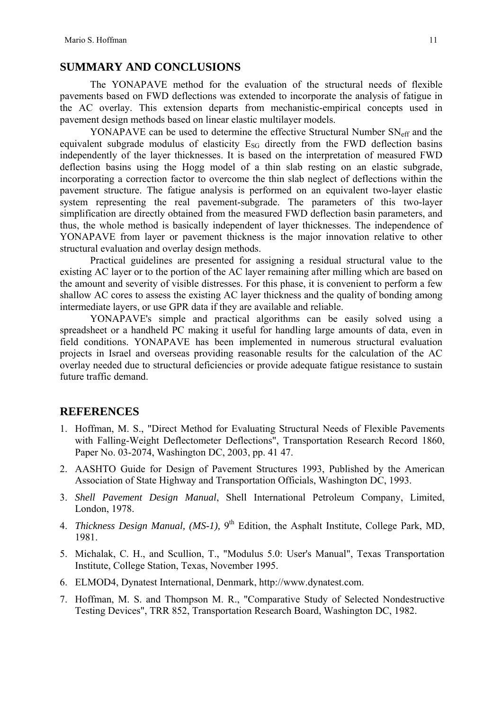# **SUMMARY AND CONCLUSIONS**

The YONAPAVE method for the evaluation of the structural needs of flexible pavements based on FWD deflections was extended to incorporate the analysis of fatigue in the AC overlay. This extension departs from mechanistic-empirical concepts used in pavement design methods based on linear elastic multilayer models.

YONAPAVE can be used to determine the effective Structural Number  $SN_{\text{eff}}$  and the equivalent subgrade modulus of elasticity  $E_{SG}$  directly from the FWD deflection basins independently of the layer thicknesses. It is based on the interpretation of measured FWD deflection basins using the Hogg model of a thin slab resting on an elastic subgrade, incorporating a correction factor to overcome the thin slab neglect of deflections within the pavement structure. The fatigue analysis is performed on an equivalent two-layer elastic system representing the real pavement-subgrade. The parameters of this two-layer simplification are directly obtained from the measured FWD deflection basin parameters, and thus, the whole method is basically independent of layer thicknesses. The independence of YONAPAVE from layer or pavement thickness is the major innovation relative to other structural evaluation and overlay design methods.

Practical guidelines are presented for assigning a residual structural value to the existing AC layer or to the portion of the AC layer remaining after milling which are based on the amount and severity of visible distresses. For this phase, it is convenient to perform a few shallow AC cores to assess the existing AC layer thickness and the quality of bonding among intermediate layers, or use GPR data if they are available and reliable.

YONAPAVE's simple and practical algorithms can be easily solved using a spreadsheet or a handheld PC making it useful for handling large amounts of data, even in field conditions. YONAPAVE has been implemented in numerous structural evaluation projects in Israel and overseas providing reasonable results for the calculation of the AC overlay needed due to structural deficiencies or provide adequate fatigue resistance to sustain future traffic demand.

# **REFERENCES**

- 1. Hoffman, M. S., "Direct Method for Evaluating Structural Needs of Flexible Pavements with Falling-Weight Deflectometer Deflections", Transportation Research Record 1860, Paper No. 03-2074, Washington DC, 2003, pp. 41 47.
- 2. AASHTO Guide for Design of Pavement Structures 1993, Published by the American Association of State Highway and Transportation Officials, Washington DC, 1993.
- 3. *Shell Pavement Design Manual*, Shell International Petroleum Company, Limited, London, 1978.
- 4. *Thickness Design Manual, (MS-1)*, 9<sup>th</sup> Edition, the Asphalt Institute, College Park, MD, 1981.
- 5. Michalak, C. H., and Scullion, T., "Modulus 5.0: User's Manual", Texas Transportation Institute, College Station, Texas, November 1995.
- 6. ELMOD4, Dynatest International, Denmark, http://www.dynatest.com.
- 7. Hoffman, M. S. and Thompson M. R., "Comparative Study of Selected Nondestructive Testing Devices", TRR 852, Transportation Research Board, Washington DC, 1982.